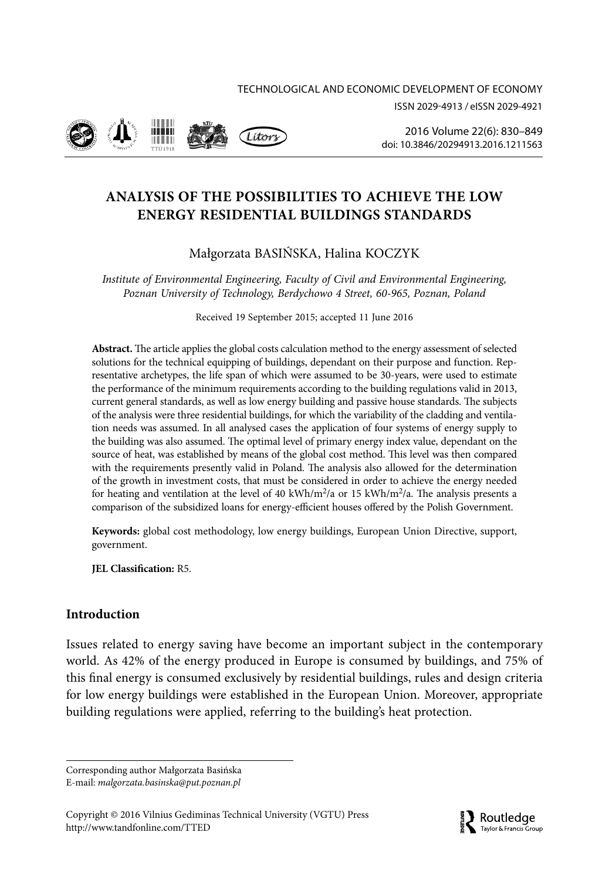ISSN 2029-4913 / eISSN 2029-4921



2016 Volume 22(6): 830–849 doi: 10.3846/20294913.2016.1211563

# **ANALYSIS OF THE POSSIBILITIES TO ACHIEVE THE LOW ENERGY RESIDENTIAL BUILDINGS STANDARDS**

# Małgorzata BASIŃSKA, Halina KOCZYK

*Institute of Environmental Engineering, Faculty of Civil and Environmental Engineering, Poznan University of Technology, Berdychowo 4 Street, 60-965, Poznan, Poland*

Received 19 September 2015; accepted 11 June 2016

**Abstract.** The article applies the global costs calculation method to the energy assessment of selected solutions for the technical equipping of buildings, dependant on their purpose and function. Representative archetypes, the life span of which were assumed to be 30-years, were used to estimate the performance of the minimum requirements according to the building regulations valid in 2013, current general standards, as well as low energy building and passive house standards. The subjects of the analysis were three residential buildings, for which the variability of the cladding and ventilation needs was assumed. In all analysed cases the application of four systems of energy supply to the building was also assumed. The optimal level of primary energy index value, dependant on the source of heat, was established by means of the global cost method. This level was then compared with the requirements presently valid in Poland. The analysis also allowed for the determination of the growth in investment costs, that must be considered in order to achieve the energy needed for heating and ventilation at the level of 40 kWh/m<sup>2</sup>/a or 15 kWh/m<sup>2</sup>/a. The analysis presents a comparison of the subsidized loans for energy-efficient houses offered by the Polish Government.

**Keywords:** global cost methodology, low energy buildings, European Union Directive, support, government.

**JEL Classification:** R5.

## **Introduction**

Issues related to energy saving have become an important subject in the contemporary world. As 42% of the energy produced in Europe is consumed by buildings, and 75% of this final energy is consumed exclusively by residential buildings, rules and design criteria for low energy buildings were established in the European Union. Moreover, appropriate building regulations were applied, referring to the building's heat protection.

Corresponding author Małgorzata Basińska



E-mail: *malgorzata.basinska@put.poznan.pl*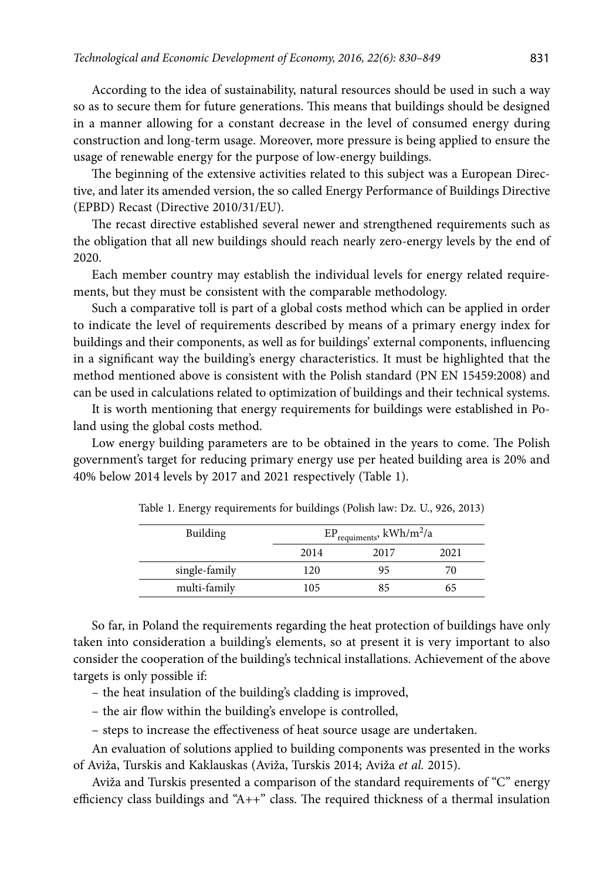According to the idea of sustainability, natural resources should be used in such a way so as to secure them for future generations. This means that buildings should be designed in a manner allowing for a constant decrease in the level of consumed energy during construction and long-term usage. Moreover, more pressure is being applied to ensure the usage of renewable energy for the purpose of low-energy buildings.

The beginning of the extensive activities related to this subject was a European Directive, and later its amended version, the so called Energy Performance of Buildings Directive (EPBD) Recast (Directive 2010/31/EU).

The recast directive established several newer and strengthened requirements such as the obligation that all new buildings should reach nearly zero-energy levels by the end of 2020.

Each member country may establish the individual levels for energy related requirements, but they must be consistent with the comparable methodology.

Such a comparative toll is part of a global costs method which can be applied in order to indicate the level of requirements described by means of a primary energy index for buildings and their components, as well as for buildings' external components, influencing in a significant way the building's energy characteristics. It must be highlighted that the method mentioned above is consistent with the Polish standard (PN EN 15459:2008) and can be used in calculations related to optimization of buildings and their technical systems.

It is worth mentioning that energy requirements for buildings were established in Poland using the global costs method.

Low energy building parameters are to be obtained in the years to come. The Polish government's target for reducing primary energy use per heated building area is 20% and 40% below 2014 levels by 2017 and 2021 respectively (Table 1).

| Building      | $EP_{requirements}$ , kWh/m <sup>2</sup> /a |      |      |  |  |
|---------------|---------------------------------------------|------|------|--|--|
|               | 2014                                        | 2017 | 2021 |  |  |
| single-family | 120                                         | 95   | 70   |  |  |
| multi-family  | 105                                         |      | 65   |  |  |

Table 1. Energy requirements for buildings (Polish law: Dz. U., 926, 2013)

So far, in Poland the requirements regarding the heat protection of buildings have only taken into consideration a building's elements, so at present it is very important to also consider the cooperation of the building's technical installations. Achievement of the above targets is only possible if:

– the heat insulation of the building's cladding is improved,

– the air flow within the building's envelope is controlled,

– steps to increase the effectiveness of heat source usage are undertaken.

An evaluation of solutions applied to building components was presented in the works of Aviža, Turskis and Kaklauskas (Aviža, Turskis 2014; Aviža *et al.* 2015).

Aviža and Turskis presented a comparison of the standard requirements of "C" energy efficiency class buildings and "A++" class. The required thickness of a thermal insulation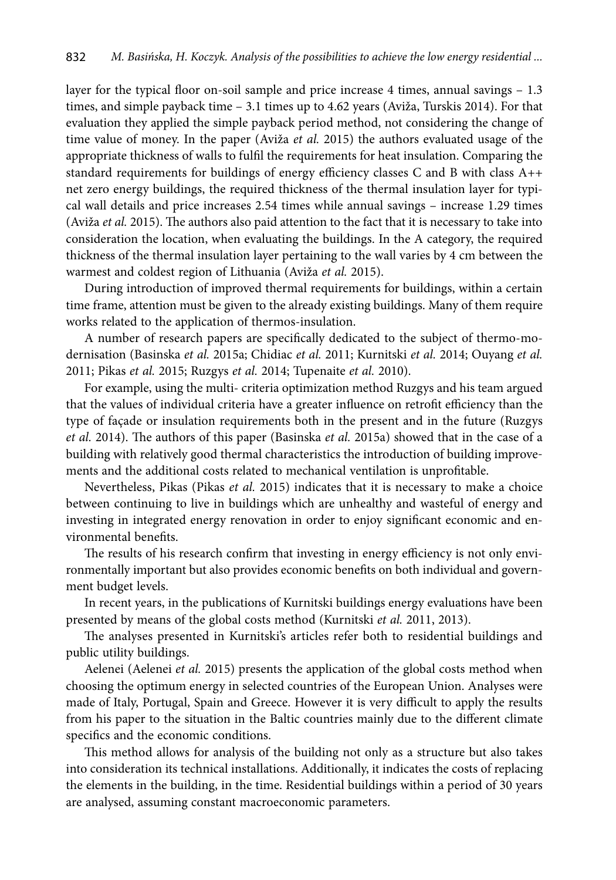layer for the typical floor on-soil sample and price increase 4 times, annual savings – 1.3 times, and simple payback time – 3.1 times up to 4.62 years (Aviža, Turskis 2014). For that evaluation they applied the simple payback period method, not considering the change of time value of money. In the paper (Aviža *et al.* 2015) the authors evaluated usage of the appropriate thickness of walls to fulfil the requirements for heat insulation. Comparing the standard requirements for buildings of energy efficiency classes C and B with class A++ net zero energy buildings, the required thickness of the thermal insulation layer for typical wall details and price increases 2.54 times while annual savings – increase 1.29 times (Aviža *et al.* 2015). The authors also paid attention to the fact that it is necessary to take into consideration the location, when evaluating the buildings. In the A category, the required thickness of the thermal insulation layer pertaining to the wall varies by 4 cm between the warmest and coldest region of Lithuania (Aviža *et al.* 2015).

During introduction of improved thermal requirements for buildings, within a certain time frame, attention must be given to the already existing buildings. Many of them require works related to the application of thermos-insulation.

A number of research papers are specifically dedicated to the subject of thermo-modernisation (Basinska *et al.* 2015a; Chidiac *et al.* 2011; Kurnitski *et al.* 2014; Ouyang *et al.* 2011; Pikas *et al.* 2015; Ruzgys *et al.* 2014; Tupenaite *et al.* 2010).

For example, using the multi- criteria optimization method Ruzgys and his team argued that the values of individual criteria have a greater influence on retrofit efficiency than the type of façade or insulation requirements both in the present and in the future (Ruzgys *et al.* 2014). The authors of this paper (Basinska *et al.* 2015a) showed that in the case of a building with relatively good thermal characteristics the introduction of building improvements and the additional costs related to mechanical ventilation is unprofitable.

Nevertheless, Pikas (Pikas *et al.* 2015) indicates that it is necessary to make a choice between continuing to live in buildings which are unhealthy and wasteful of energy and investing in integrated energy renovation in order to enjoy significant economic and environmental benefits.

The results of his research confirm that investing in energy efficiency is not only environmentally important but also provides economic benefits on both individual and government budget levels.

In recent years, in the publications of Kurnitski buildings energy evaluations have been presented by means of the global costs method (Kurnitski *et al.* 2011, 2013).

The analyses presented in Kurnitski's articles refer both to residential buildings and public utility buildings.

Aelenei (Aelenei *et al.* 2015) presents the application of the global costs method when choosing the optimum energy in selected countries of the European Union. Analyses were made of Italy, Portugal, Spain and Greece. However it is very difficult to apply the results from his paper to the situation in the Baltic countries mainly due to the different climate specifics and the economic conditions.

This method allows for analysis of the building not only as a structure but also takes into consideration its technical installations. Additionally, it indicates the costs of replacing the elements in the building, in the time. Residential buildings within a period of 30 years are analysed, assuming constant macroeconomic parameters.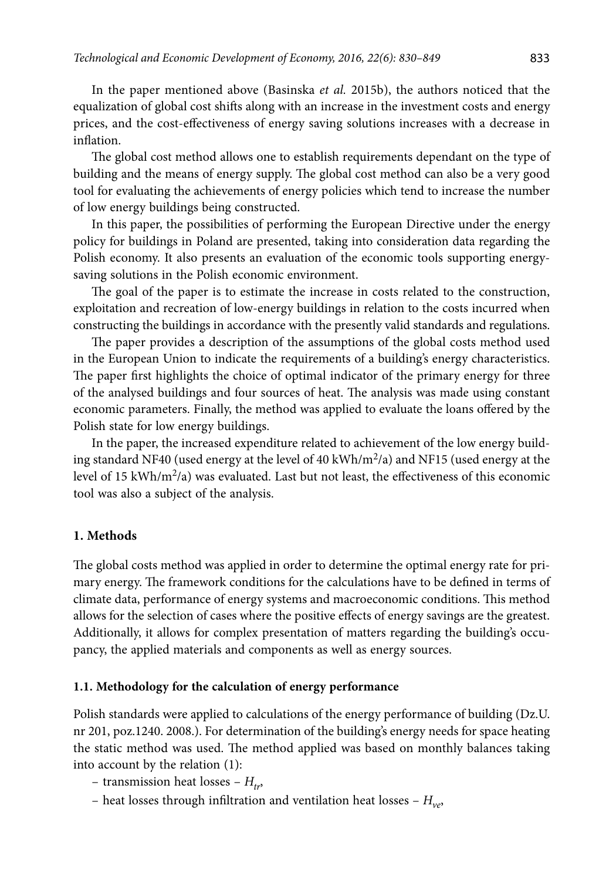In the paper mentioned above (Basinska *et al.* 2015b), the authors noticed that the equalization of global cost shifts along with an increase in the investment costs and energy prices, and the cost-effectiveness of energy saving solutions increases with a decrease in inflation.

The global cost method allows one to establish requirements dependant on the type of building and the means of energy supply. The global cost method can also be a very good tool for evaluating the achievements of energy policies which tend to increase the number of low energy buildings being constructed.

In this paper, the possibilities of performing the European Directive under the energy policy for buildings in Poland are presented, taking into consideration data regarding the Polish economy. It also presents an evaluation of the economic tools supporting energysaving solutions in the Polish economic environment.

The goal of the paper is to estimate the increase in costs related to the construction, exploitation and recreation of low-energy buildings in relation to the costs incurred when constructing the buildings in accordance with the presently valid standards and regulations.

The paper provides a description of the assumptions of the global costs method used in the European Union to indicate the requirements of a building's energy characteristics. The paper first highlights the choice of optimal indicator of the primary energy for three of the analysed buildings and four sources of heat. The analysis was made using constant economic parameters. Finally, the method was applied to evaluate the loans offered by the Polish state for low energy buildings.

In the paper, the increased expenditure related to achievement of the low energy building standard NF40 (used energy at the level of 40 kWh/m<sup>2</sup>/a) and NF15 (used energy at the level of 15 kWh/m<sup>2</sup>/a) was evaluated. Last but not least, the effectiveness of this economic tool was also a subject of the analysis.

## **1. Methods**

The global costs method was applied in order to determine the optimal energy rate for primary energy. The framework conditions for the calculations have to be defined in terms of climate data, performance of energy systems and macroeconomic conditions. This method allows for the selection of cases where the positive effects of energy savings are the greatest. Additionally, it allows for complex presentation of matters regarding the building's occupancy, the applied materials and components as well as energy sources.

## **1.1. Methodology for the calculation of energy performance**

Polish standards were applied to calculations of the energy performance of building (Dz.U. nr 201, poz.1240. 2008.). For determination of the building's energy needs for space heating the static method was used. The method applied was based on monthly balances taking into account by the relation (1):

- transmission heat losses  $H_{tr}$ ,
- heat losses through infiltration and ventilation heat losses *Hve*,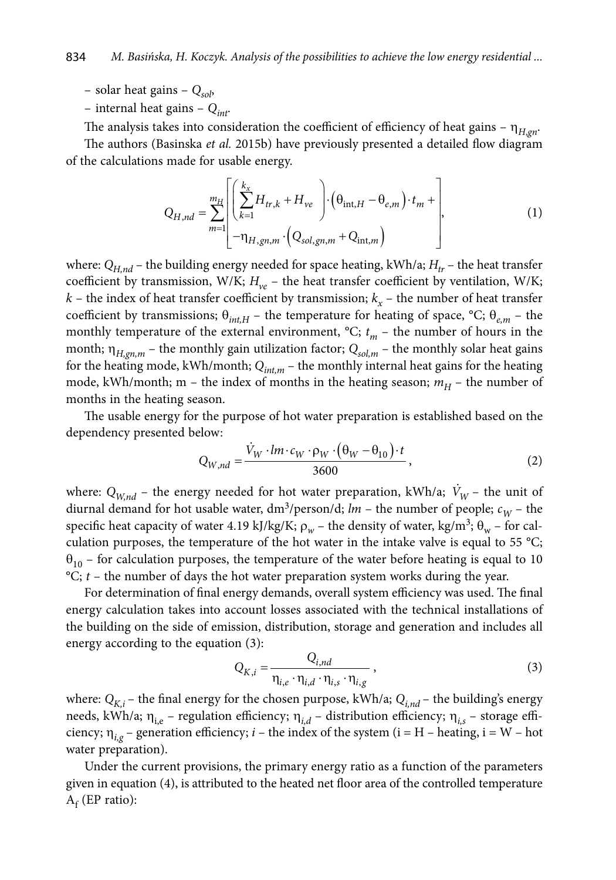– solar heat gains – *Qsol*,

– internal heat gains – *Qint*.

The analysis takes into consideration the coefficient of efficiency of heat gains –  $\eta_{H, \text{on}}$ .

The authors (Basinska *et al.* 2015b) have previously presented a detailed flow diagram of the calculations made for usable energy.

$$
Q_{H,nd} = \sum_{m=1}^{m_H} \left[ \left( \sum_{k=1}^{k_x} H_{tr,k} + H_{ve} \right) \cdot \left( \theta_{int,H} - \theta_{e,m} \right) \cdot t_m + \right],
$$
  
\n
$$
- \eta_{H,gn,m} \cdot \left( Q_{sol,gn,m} + Q_{int,m} \right)
$$
\n(1)

where:  $Q_{Hnd}$  – the building energy needed for space heating, kWh/a;  $H_{tr}$  – the heat transfer coefficient by transmission, W/K;  $H_{ve}$  – the heat transfer coefficient by ventilation, W/K;  $k$  – the index of heat transfer coefficient by transmission;  $k<sub>x</sub>$  – the number of heat transfer coefficient by transmissions;  $\theta_{intH}$  – the temperature for heating of space, °C;  $\theta_{em}$  – the monthly temperature of the external environment,  ${}^{\circ}C$ ;  $t_m$  – the number of hours in the month;  $\eta_{H,gn,m}$  – the monthly gain utilization factor;  $Q_{sol,m}$  – the monthly solar heat gains for the heating mode, kWh/month;  $Q_{int,m}$  – the monthly internal heat gains for the heating mode, kWh/month; m – the index of months in the heating season;  $m_H$  – the number of months in the heating season.

The usable energy for the purpose of hot water preparation is established based on the dependency presented below:

$$
Q_{W,nd} = \frac{\dot{V}_W \cdot lm \cdot c_W \cdot \rho_W \cdot (\theta_W - \theta_{10}) \cdot t}{3600}, \qquad (2)
$$

where:  $Q_{W,nd}$  – the energy needed for hot water preparation, kWh/a;  $\dot{V}_W$  – the unit of diurnal demand for hot usable water,  $dm^3$ /person/d;  $lm$  – the number of people;  $c_W$  – the specific heat capacity of water 4.19 kJ/kg/K;  $\rho_w$  – the density of water, kg/m<sup>3</sup>;  $\theta_w$  – for calculation purposes, the temperature of the hot water in the intake valve is equal to  $55 \degree C$ ;  $\theta_{10}$  – for calculation purposes, the temperature of the water before heating is equal to 10  $^{\circ}C$ ; *t* – the number of days the hot water preparation system works during the year.

For determination of final energy demands, overall system efficiency was used. The final energy calculation takes into account losses associated with the technical installations of the building on the side of emission, distribution, storage and generation and includes all energy according to the equation (3):

$$
Q_{K,i} = \frac{Q_{i,nd}}{\eta_{i,e} \cdot \eta_{i,d} \cdot \eta_{i,s} \cdot \eta_{i,g}},
$$
\n(3)

where:  $Q_{K,i}$  – the final energy for the chosen purpose, kWh/a;  $Q_{i,nd}$  – the building's energy needs, kWh/a;  $\eta_{i,e}$  – regulation efficiency;  $\eta_{i,d}$  – distribution efficiency;  $\eta_{i,s}$  – storage efficiency;  $\eta_{i,\sigma}$  – generation efficiency; *i* – the index of the system (i = H – heating, i = W – hot water preparation).

Under the current provisions, the primary energy ratio as a function of the parameters given in equation (4), is attributed to the heated net floor area of the controlled temperature  $A_f$  (EP ratio):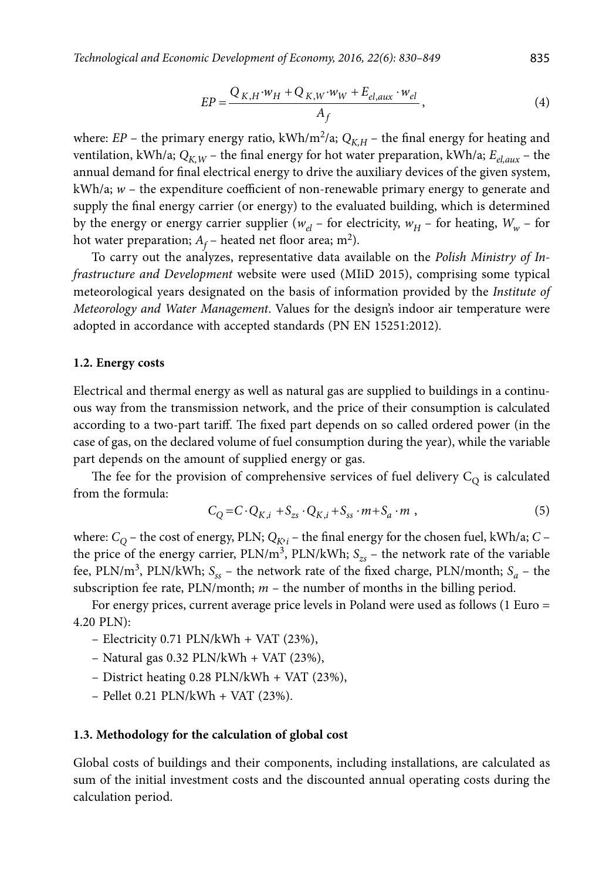$$
EP = \frac{Q_{K,H} \cdot w_H + Q_{K,W} \cdot w_W + E_{el,aux} \cdot w_{el}}{A_f},
$$
\n(4)

where: *EP* – the primary energy ratio, kWh/m<sup>2</sup>/a;  $Q_{K,H}$  – the final energy for heating and ventilation, kWh/a;  $Q_{K,W}$  – the final energy for hot water preparation, kWh/a;  $E_{el,aux}$  – the annual demand for final electrical energy to drive the auxiliary devices of the given system, kWh/a; *w* – the expenditure coefficient of non-renewable primary energy to generate and supply the final energy carrier (or energy) to the evaluated building, which is determined by the energy or energy carrier supplier ( $w_{el}$  – for electricity,  $w_H$  – for heating,  $W_w$  – for hot water preparation;  $A_f$  – heated net floor area; m<sup>2</sup>).

To carry out the analyzes, representative data available on the *Polish Ministry of Infrastructure and Development* website were used (MIiD 2015), comprising some typical meteorological years designated on the basis of information provided by the *Institute of Meteorology and Water Management*. Values for the design's indoor air temperature were adopted in accordance with accepted standards (PN EN 15251:2012)*.*

#### **1.2. Energy costs**

Electrical and thermal energy as well as natural gas are supplied to buildings in a continuous way from the transmission network, and the price of their consumption is calculated according to a two-part tariff. The fixed part depends on so called ordered power (in the case of gas, on the declared volume of fuel consumption during the year), while the variable part depends on the amount of supplied energy or gas.

The fee for the provision of comprehensive services of fuel delivery  $C<sub>O</sub>$  is calculated from the formula:

$$
C_Q = C \cdot Q_{K,i} + S_{zs} \cdot Q_{K,i} + S_{ss} \cdot m + S_a \cdot m \tag{5}
$$

where:  $C_Q$  – the cost of energy, PLN;  $Q_{K^{\flat}i}$  – the final energy for the chosen fuel, kWh/a;  $C$  – the price of the energy carrier,  $PLN/m^3$ ,  $PLN/kWh$ ;  $S_{zs}$  – the network rate of the variable fee, PLN/m<sup>3</sup>, PLN/kWh;  $S_{ss}$  – the network rate of the fixed charge, PLN/month;  $S_a$  – the subscription fee rate,  $PLN/month$ ;  $m -$  the number of months in the billing period.

For energy prices, current average price levels in Poland were used as follows (1 Euro = 4.20 PLN):

- Electricity 0.71 PLN/kWh + VAT (23%),
- $-$  Natural gas 0.32 PLN/kWh + VAT (23%),
- District heating 0.28 PLN/kWh + VAT (23%),
- Pellet 0.21 PLN/kWh + VAT (23%).

#### **1.3. Methodology for the calculation of global cost**

Global costs of buildings and their components, including installations, are calculated as sum of the initial investment costs and the discounted annual operating costs during the calculation period.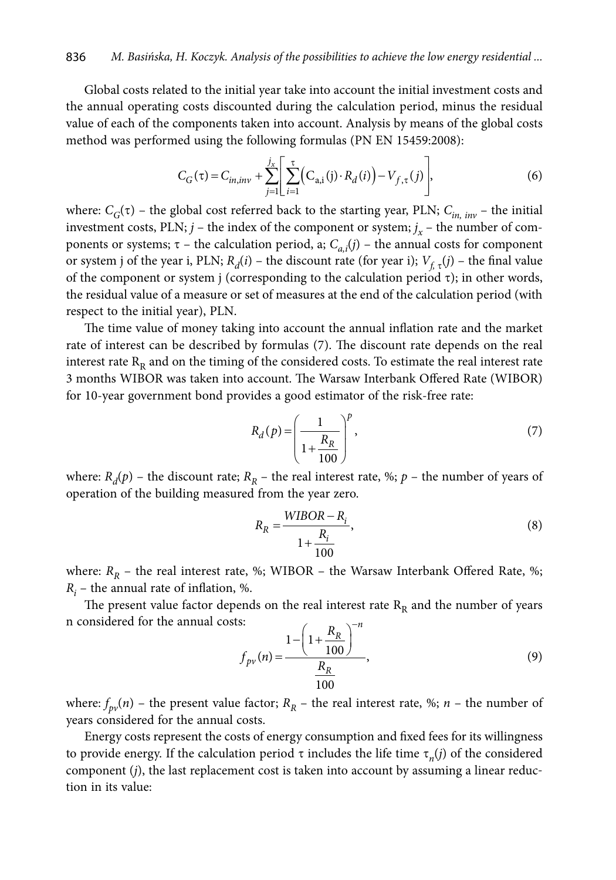Global costs related to the initial year take into account the initial investment costs and the annual operating costs discounted during the calculation period, minus the residual value of each of the components taken into account. Analysis by means of the global costs method was performed using the following formulas (PN EN 15459:2008):

$$
C_G(\tau) = C_{in,inv} + \sum_{j=1}^{j_X} \left[ \sum_{i=1}^{\tau} \left( C_{a,i}(j) \cdot R_d(i) \right) - V_{f,\tau}(j) \right],\tag{6}
$$

where:  $C_G(\tau)$  – the global cost referred back to the starting year, PLN;  $C_{in, inv}$  – the initial investment costs, PLN;  $j$  – the index of the component or system;  $j_x$  – the number of components or systems;  $\tau$  – the calculation period, a;  $C_{a,i}(j)$  – the annual costs for component or system j of the year i, PLN;  $R_d(i)$  – the discount rate (for year i);  $V_{f,\tau}(j)$  – the final value of the component or system j (corresponding to the calculation period  $\tau$ ); in other words, the residual value of a measure or set of measures at the end of the calculation period (with respect to the initial year), PLN.

The time value of money taking into account the annual inflation rate and the market rate of interest can be described by formulas (7). The discount rate depends on the real interest rate  $R<sub>R</sub>$  and on the timing of the considered costs. To estimate the real interest rate 3 months WIBOR was taken into account. The Warsaw Interbank Offered Rate (WIBOR) for 10-year government bond provides a good estimator of the risk-free rate:

$$
R_d(p) = \left(\frac{1}{1 + \frac{R_R}{100}}\right)^p, \tag{7}
$$

where:  $R_d(p)$  – the discount rate;  $R_p$  – the real interest rate, %;  $p$  – the number of years of operation of the building measured from the year zero.

$$
R_R = \frac{WIBOR - R_i}{1 + \frac{R_i}{100}},\tag{8}
$$

where:  $R_R$  – the real interest rate, %; WIBOR – the Warsaw Interbank Offered Rate, %;  $R_i$  – the annual rate of inflation, %.

The present value factor depends on the real interest rate  $R<sub>R</sub>$  and the number of years n considered for the annual costs:  $\sqrt{-n}$ 

s:  

$$
f_{pv}(n) = \frac{1 - \left(1 + \frac{R_R}{100}\right)^{-n}}{\frac{R_R}{100}},
$$
(9)

where:  $f_{p\nu}(n)$  – the present value factor;  $R_R$  – the real interest rate, %; *n* – the number of years considered for the annual costs.

Energy costs represent the costs of energy consumption and fixed fees for its willingness to provide energy. If the calculation period  $\tau$  includes the life time  $\tau_n(i)$  of the considered component (*j*), the last replacement cost is taken into account by assuming a linear reduction in its value: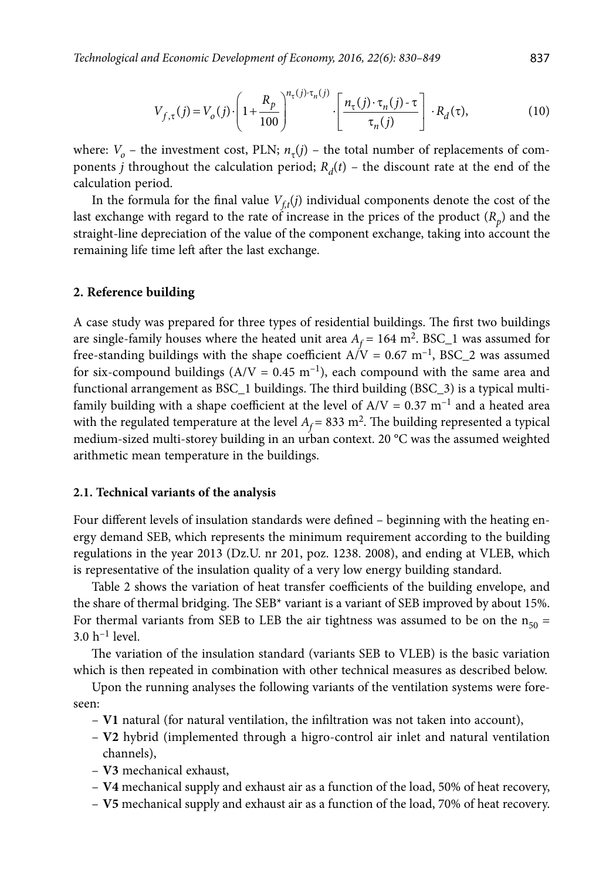$$
V_{f,\tau}(j) = V_o(j) \cdot \left(1 + \frac{R_p}{100}\right)^{n_{\tau}(j) \cdot \tau_n(j)} \cdot \left[\frac{n_{\tau}(j) \cdot \tau_n(j) - \tau}{\tau_n(j)}\right] \cdot R_d(\tau),\tag{10}
$$

where:  $V<sub>o</sub>$  – the investment cost, PLN;  $n<sub>\tau</sub>(j)$  – the total number of replacements of components *j* throughout the calculation period;  $R_d(t)$  – the discount rate at the end of the calculation period.

In the formula for the final value  $V_{ff}(j)$  individual components denote the cost of the last exchange with regard to the rate of increase in the prices of the product  $(R_p)$  and the straight-line depreciation of the value of the component exchange, taking into account the remaining life time left after the last exchange.

#### **2. Reference building**

A case study was prepared for three types of residential buildings. The first two buildings are single-family houses where the heated unit area  $A_f = 164 \text{ m}^2$ . BSC\_1 was assumed for free-standing buildings with the shape coefficient  $A/V = 0.67$  m<sup>-1</sup>, BSC\_2 was assumed for six-compound buildings ( $A/V = 0.45$  m<sup>-1</sup>), each compound with the same area and functional arrangement as BSC\_1 buildings. The third building (BSC\_3) is a typical multifamily building with a shape coefficient at the level of  $A/V = 0.37$  m<sup>-1</sup> and a heated area with the regulated temperature at the level  $A_f$  = 833 m<sup>2</sup>. The building represented a typical medium-sized multi-storey building in an urban context. 20 °C was the assumed weighted arithmetic mean temperature in the buildings.

#### **2.1. Technical variants of the analysis**

Four different levels of insulation standards were defined – beginning with the heating energy demand SEB, which represents the minimum requirement according to the building regulations in the year 2013 (Dz.U. nr 201, poz. 1238. 2008), and ending at VLEB, which is representative of the insulation quality of a very low energy building standard.

Table 2 shows the variation of heat transfer coefficients of the building envelope, and the share of thermal bridging. The SEB\* variant is a variant of SEB improved by about 15%. For thermal variants from SEB to LEB the air tightness was assumed to be on the  $n_{50}$  =  $3.0 h^{-1}$  level.

The variation of the insulation standard (variants SEB to VLEB) is the basic variation which is then repeated in combination with other technical measures as described below.

Upon the running analyses the following variants of the ventilation systems were foreseen:

- **V1** natural (for natural ventilation, the infiltration was not taken into account),
- **V2** hybrid (implemented through a higro-control air inlet and natural ventilation channels),
- **V3** mechanical exhaust,
- **V4** mechanical supply and exhaust air as a function of the load, 50% of heat recovery,
- **V5** mechanical supply and exhaust air as a function of the load, 70% of heat recovery.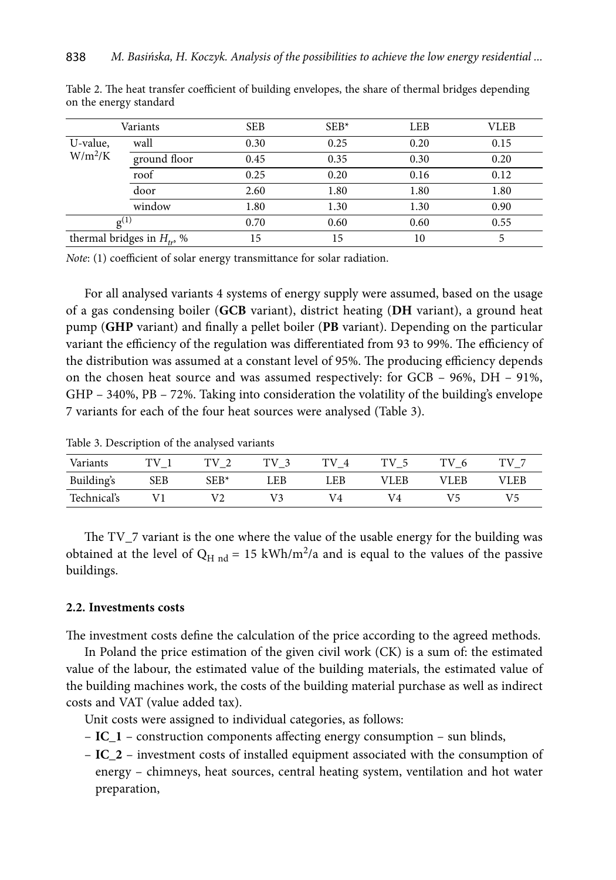| Variants                        |              | <b>SEB</b> | $SEB*$ |      | <b>VLEB</b> |  |
|---------------------------------|--------------|------------|--------|------|-------------|--|
| U-value,<br>$W/m^2/K$           | wall         | 0.30       | 0.25   | 0.20 | 0.15        |  |
|                                 | ground floor | 0.45       | 0.35   | 0.30 | 0.20        |  |
|                                 | roof         | 0.25       | 0.20   | 0.16 | 0.12        |  |
|                                 | door         | 2.60       | 1.80   | 1.80 | 1.80        |  |
|                                 | window       | 1.80       | 1.30   | 1.30 | 0.90        |  |
| $g^{(1)}$                       |              | 0.70       | 0.60   | 0.60 | 0.55        |  |
| thermal bridges in $H_{tr}$ , % |              | 15         | 15     | 10   |             |  |

Table 2. The heat transfer coefficient of building envelopes, the share of thermal bridges depending on the energy standard

*Note*: (1) coefficient of solar energy transmittance for solar radiation.

For all analysed variants 4 systems of energy supply were assumed, based on the usage of a gas condensing boiler (**GCB** variant), district heating (**DH** variant), a ground heat pump (**GHP** variant) and finally a pellet boiler (**PB** variant). Depending on the particular variant the efficiency of the regulation was differentiated from 93 to 99%. The efficiency of the distribution was assumed at a constant level of 95%. The producing efficiency depends on the chosen heat source and was assumed respectively: for GCB – 96%, DH – 91%, GHP – 340%, PB – 72%. Taking into consideration the volatility of the building's envelope 7 variants for each of the four heat sources were analysed (Table 3).

Table 3. Description of the analysed variants

| Variants    | TV         | TV     | TV  | тv  | TV 5        | тv<br>- 6 | тv   |
|-------------|------------|--------|-----|-----|-------------|-----------|------|
| Building's  | <b>SEB</b> | $SEB*$ | LEB | LEB | <b>VLEB</b> | VLEB      | VLEB |
| Technical's |            | V2     |     | V4  | V4          |           | V5   |

The TV\_7 variant is the one where the value of the usable energy for the building was obtained at the level of  $Q_{H \text{nd}} = 15 \text{ kWh/m}^2/a$  and is equal to the values of the passive buildings.

## **2.2. Investments costs**

The investment costs define the calculation of the price according to the agreed methods.

In Poland the price estimation of the given civil work (CK) is a sum of: the estimated value of the labour, the estimated value of the building materials, the estimated value of the building machines work, the costs of the building material purchase as well as indirect costs and VAT (value added tax).

Unit costs were assigned to individual categories, as follows:

- **IC\_1** construction components affecting energy consumption sun blinds,
- **IC\_2** investment costs of installed equipment associated with the consumption of energy – chimneys, heat sources, central heating system, ventilation and hot water preparation,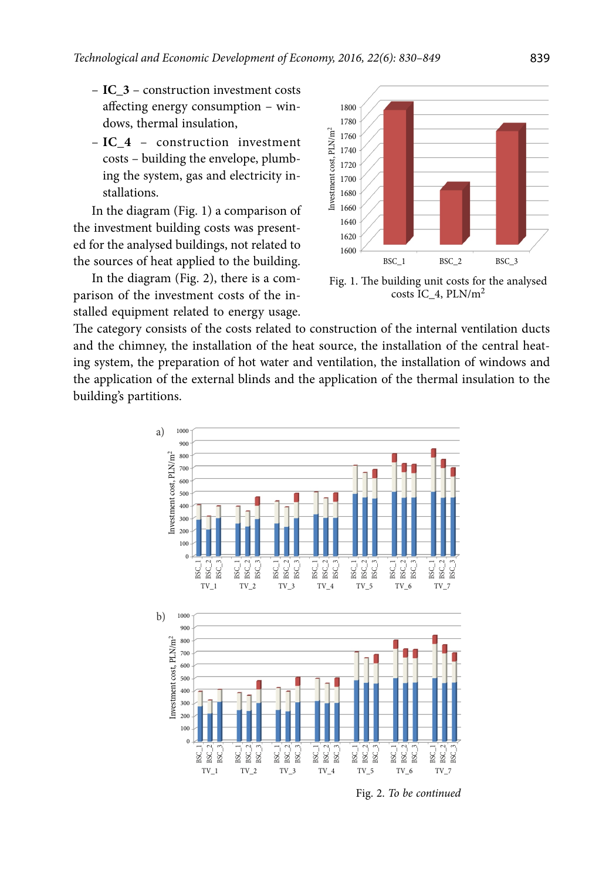- **IC\_3** construction investment costs affecting energy consumption – windows, thermal insulation,
- **IC\_4** – construction investment costs – building the envelope, plumbing the system, gas and electricity installations.

In the diagram (Fig. 1) a comparison of the investment building costs was presented for the analysed buildings, not related to the sources of heat applied to the building.

In the diagram (Fig. 2), there is a comparison of the investment costs of the installed equipment related to energy usage.



Fig. 1. The building unit costs for the analysed costs IC\_4, PLN/m<sup>2</sup>

The category consists of the costs related to construction of the internal ventilation ducts and the chimney, the installation of the heat source, the installation of the central heating system, the preparation of hot water and ventilation, the installation of windows and the application of the external blinds and the application of the thermal insulation to the building's partitions.



Fig. 2. *To be continued*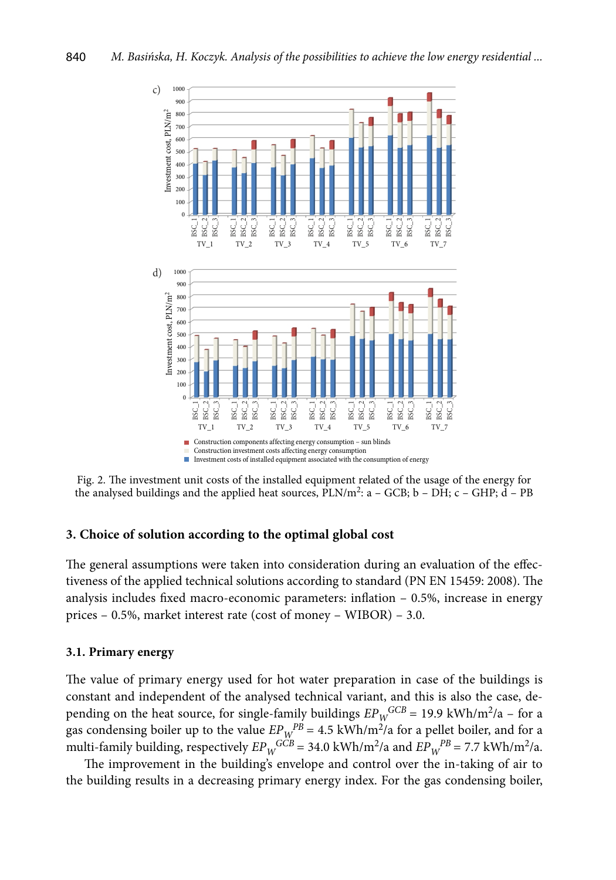

Fig. 2. The investment unit costs of the installed equipment related of the usage of the energy for the analysed buildings and the applied heat sources,  $PLN/m^2$ :  $a - GCB$ ;  $b - DH$ ;  $c - GHP$ ;  $d - PB$ 

## **3. Choice of solution according to the optimal global cost**

The general assumptions were taken into consideration during an evaluation of the effectiveness of the applied technical solutions according to standard (PN EN 15459: 2008). The analysis includes fixed macro-economic parameters: inflation – 0.5%, increase in energy prices – 0.5%, market interest rate (cost of money – WIBOR) – 3.0.

#### **3.1. Primary energy**

The value of primary energy used for hot water preparation in case of the buildings is constant and independent of the analysed technical variant, and this is also the case, depending on the heat source, for single-family buildings  $EP_W^{GCB} = 19.9 \text{ kWh/m}^2/a - \text{for a}$ gas condensing boiler up to the value  $EP_{W}^{PB} = 4.5 \text{ kWh/m}^2/a$  for a pellet boiler, and for a multi-family building, respectively  $EP_W^{GCB} = 34.0 \text{ kWh/m}^2/\text{a}$  and  $EP_W^{PB} = 7.7 \text{ kWh/m}^2/\text{a}$ .

The improvement in the building's envelope and control over the in-taking of air to the building results in a decreasing primary energy index. For the gas condensing boiler,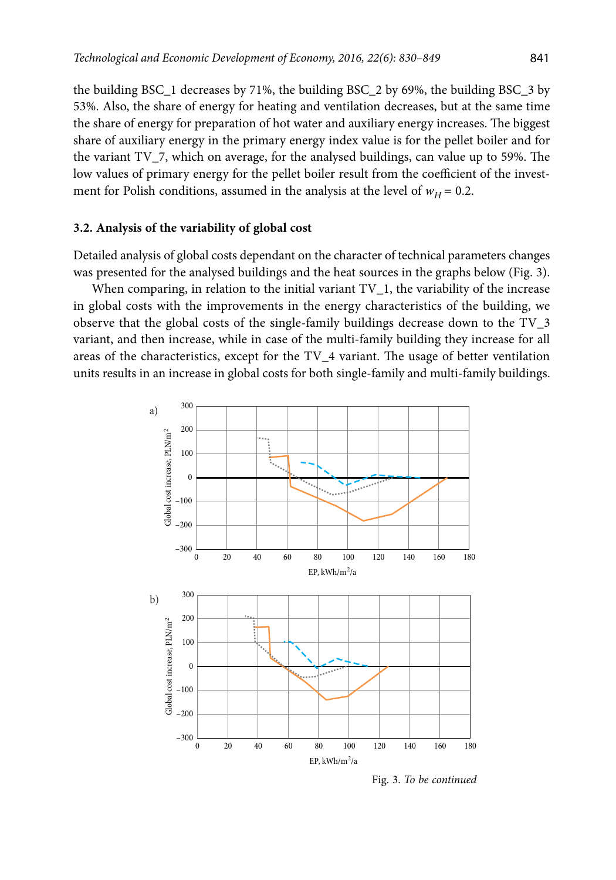the building BSC\_1 decreases by 71%, the building BSC\_2 by 69%, the building BSC\_3 by 53%. Also, the share of energy for heating and ventilation decreases, but at the same time the share of energy for preparation of hot water and auxiliary energy increases. The biggest share of auxiliary energy in the primary energy index value is for the pellet boiler and for the variant TV\_7, which on average, for the analysed buildings, can value up to 59%. The low values of primary energy for the pellet boiler result from the coefficient of the investment for Polish conditions, assumed in the analysis at the level of  $w_H$  = 0.2.

## **3.2. Analysis of the variability of global cost**

Detailed analysis of global costs dependant on the character of technical parameters changes was presented for the analysed buildings and the heat sources in the graphs below (Fig. 3).

When comparing, in relation to the initial variant  $TV<sub>1</sub>$ , the variability of the increase in global costs with the improvements in the energy characteristics of the building, we observe that the global costs of the single-family buildings decrease down to the TV\_3 variant, and then increase, while in case of the multi-family building they increase for all areas of the characteristics, except for the TV\_4 variant. The usage of better ventilation units results in an increase in global costs for both single-family and multi-family buildings.



Fig. 3. *To be continued*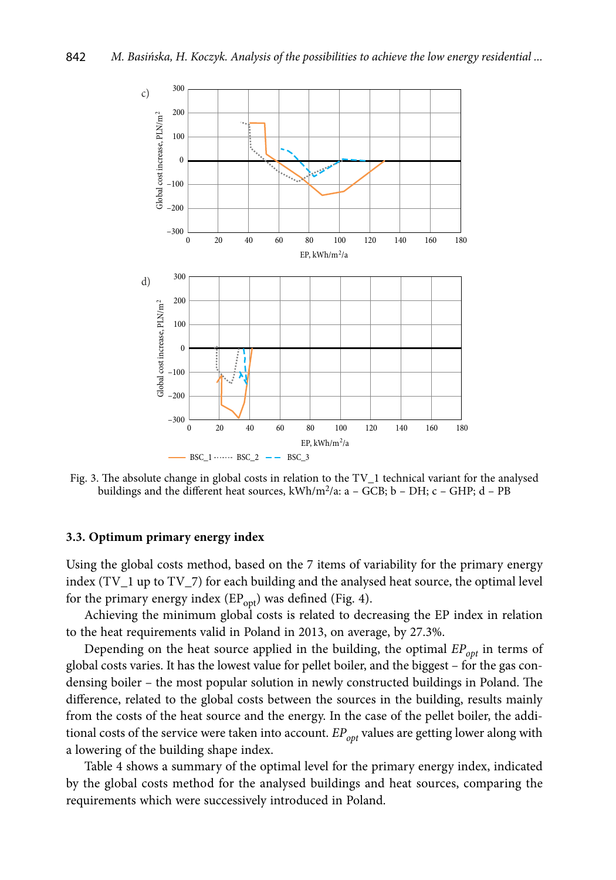

Fig. 3. The absolute change in global costs in relation to the TV 1 technical variant for the analysed buildings and the different heat sources, kWh/m<sup>2</sup>/a: a - GCB; b - DH; c - GHP; d - PB

#### **3.3. Optimum primary energy index**

Using the global costs method, based on the 7 items of variability for the primary energy index (TV\_1 up to TV\_7) for each building and the analysed heat source, the optimal level for the primary energy index  $(EP_{\text{opt}})$  was defined (Fig. 4).

Achieving the minimum global costs is related to decreasing the EP index in relation to the heat requirements valid in Poland in 2013, on average, by 27.3%.

Depending on the heat source applied in the building, the optimal *EP*<sub>opt</sub> in terms of global costs varies. It has the lowest value for pellet boiler, and the biggest – for the gas condensing boiler – the most popular solution in newly constructed buildings in Poland. The difference, related to the global costs between the sources in the building, results mainly from the costs of the heat source and the energy. In the case of the pellet boiler, the additional costs of the service were taken into account. *EP<sub>opt</sub>* values are getting lower along with a lowering of the building shape index.

Table 4 shows a summary of the optimal level for the primary energy index, indicated by the global costs method for the analysed buildings and heat sources, comparing the requirements which were successively introduced in Poland.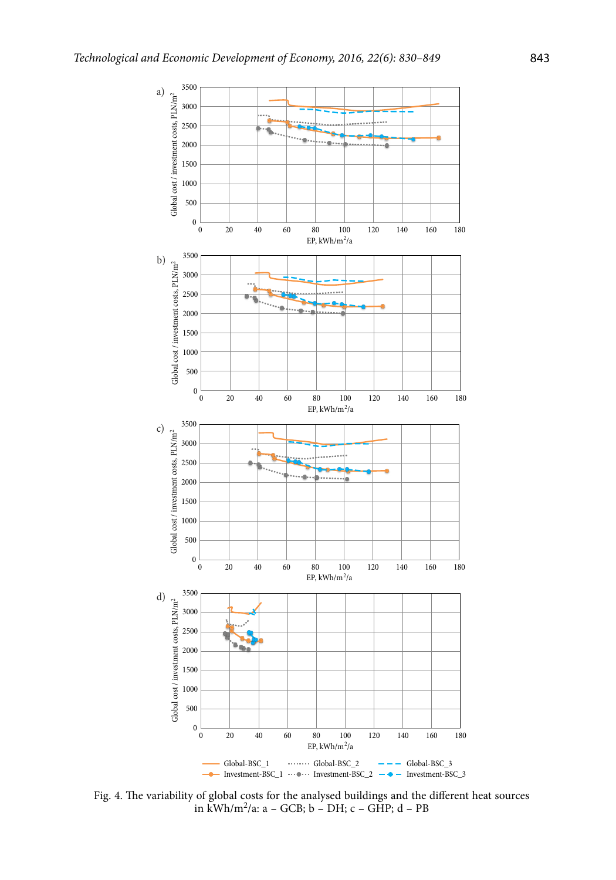

Fig. 4. The variability of global costs for the analysed buildings and the different heat sources in kWh/m2/a: a – GCB; b – DH; c – GHP; d – PB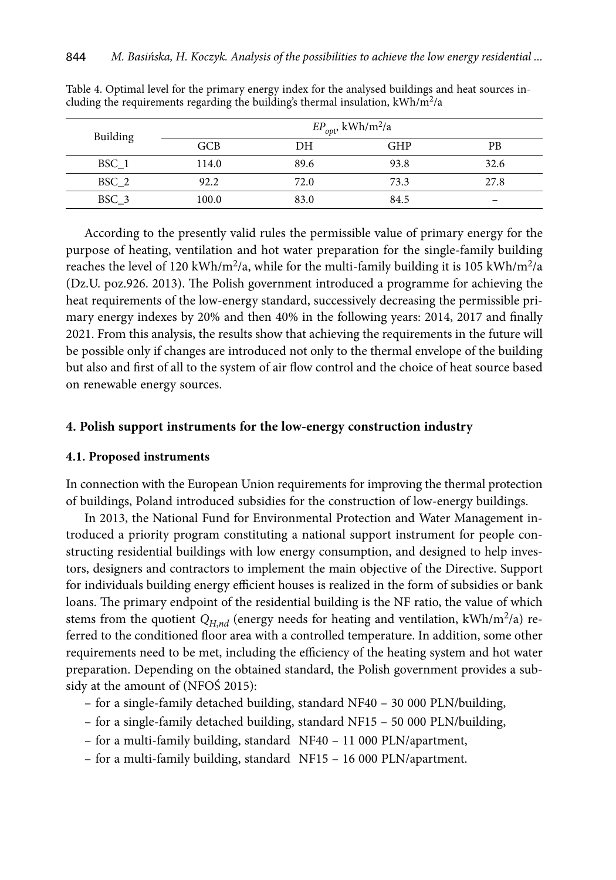| Building | $EP_{opt}$ , kWh/m <sup>2</sup> /a |      |            |      |  |  |  |
|----------|------------------------------------|------|------------|------|--|--|--|
|          | GCB                                | DН   | <b>GHP</b> | PB   |  |  |  |
| BSC 1    | 114.0                              | 89.6 | 93.8       | 32.6 |  |  |  |
| BSC 2    | 92.2                               | 72.0 | 73.3       | 27.8 |  |  |  |
| BSC 3    | 100.0                              | 83.0 | 84.5       |      |  |  |  |

Table 4. Optimal level for the primary energy index for the analysed buildings and heat sources including the requirements regarding the building's thermal insulation,  $kWh/m^2/a$ 

According to the presently valid rules the permissible value of primary energy for the purpose of heating, ventilation and hot water preparation for the single-family building reaches the level of 120 kWh/m<sup>2</sup>/a, while for the multi-family building it is 105 kWh/m<sup>2</sup>/a (Dz.U. poz.926. 2013). The Polish government introduced a programme for achieving the heat requirements of the low-energy standard, successively decreasing the permissible primary energy indexes by 20% and then 40% in the following years: 2014, 2017 and finally 2021. From this analysis, the results show that achieving the requirements in the future will be possible only if changes are introduced not only to the thermal envelope of the building but also and first of all to the system of air flow control and the choice of heat source based on renewable energy sources.

## **4. Polish support instruments for the low-energy construction industry**

### **4.1. Proposed instruments**

In connection with the European Union requirements for improving the thermal protection of buildings, Poland introduced subsidies for the construction of low-energy buildings.

In 2013, the National Fund for Environmental Protection and Water Management introduced a priority program constituting a national support instrument for people constructing residential buildings with low energy consumption, and designed to help investors, designers and contractors to implement the main objective of the Directive. Support for individuals building energy efficient houses is realized in the form of subsidies or bank loans. The primary endpoint of the residential building is the NF ratio, the value of which stems from the quotient  $Q_{H,nd}$  (energy needs for heating and ventilation, kWh/m<sup>2</sup>/a) referred to the conditioned floor area with a controlled temperature. In addition, some other requirements need to be met, including the efficiency of the heating system and hot water preparation. Depending on the obtained standard, the Polish government provides a subsidy at the amount of (NFOŚ 2015):

- for a single-family detached building, standard NF40 30 000 PLN/building,
- for a single-family detached building, standard NF15 50 000 PLN/building,
- for a multi-family building, standard NF40 11 000 PLN/apartment,
- for a multi-family building, standard NF15 16 000 PLN/apartment.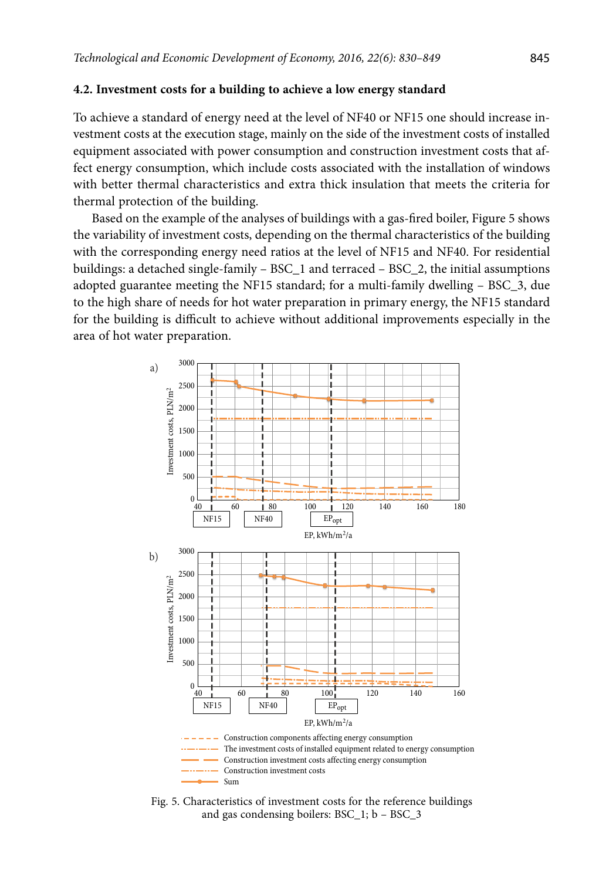#### **4.2. Investment costs for a building to achieve a low energy standard**

To achieve a standard of energy need at the level of NF40 or NF15 one should increase investment costs at the execution stage, mainly on the side of the investment costs of installed equipment associated with power consumption and construction investment costs that affect energy consumption, which include costs associated with the installation of windows with better thermal characteristics and extra thick insulation that meets the criteria for thermal protection of the building.

Based on the example of the analyses of buildings with a gas-fired boiler, Figure 5 shows the variability of investment costs, depending on the thermal characteristics of the building with the corresponding energy need ratios at the level of NF15 and NF40. For residential buildings: a detached single-family – BSC\_1 and terraced – BSC\_2, the initial assumptions adopted guarantee meeting the NF15 standard; for a multi-family dwelling – BSC\_3, due to the high share of needs for hot water preparation in primary energy, the NF15 standard for the building is difficult to achieve without additional improvements especially in the area of hot water preparation.



Fig. 5. Characteristics of investment costs for the reference buildings and gas condensing boilers: BSC\_1; b – BSC\_3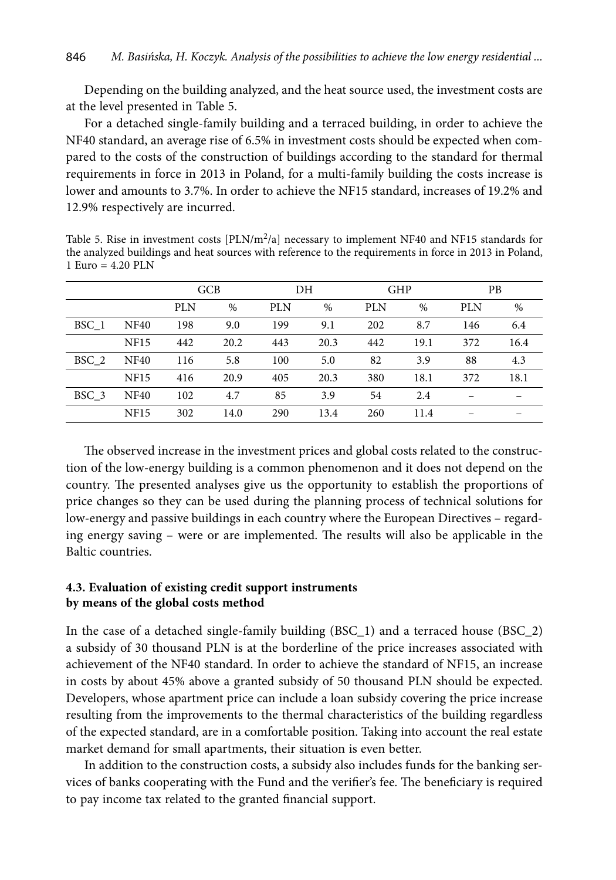Depending on the building analyzed, and the heat source used, the investment costs are at the level presented in Table 5.

For a detached single-family building and a terraced building, in order to achieve the NF40 standard, an average rise of 6.5% in investment costs should be expected when compared to the costs of the construction of buildings according to the standard for thermal requirements in force in 2013 in Poland, for a multi-family building the costs increase is lower and amounts to 3.7%. In order to achieve the NF15 standard, increases of 19.2% and 12.9% respectively are incurred.

Table 5. Rise in investment costs  $[PLN/m^2/a]$  necessary to implement NF40 and NF15 standards for the analyzed buildings and heat sources with reference to the requirements in force in 2013 in Poland, 1 Euro =  $4.20$  PLN

|       |             | <b>GCB</b> |      | DH         |      | <b>GHP</b> |      | <b>PB</b> |      |
|-------|-------------|------------|------|------------|------|------------|------|-----------|------|
|       |             | <b>PLN</b> | $\%$ | <b>PLN</b> | %    | <b>PLN</b> | %    | PLN       | $\%$ |
| BSC 1 | <b>NF40</b> | 198        | 9.0  | 199        | 9.1  | 202        | 8.7  | 146       | 6.4  |
|       | <b>NF15</b> | 442        | 20.2 | 443        | 20.3 | 442        | 19.1 | 372       | 16.4 |
| BSC 2 | <b>NF40</b> | 116        | 5.8  | 100        | 5.0  | 82         | 3.9  | 88        | 4.3  |
|       | <b>NF15</b> | 416        | 20.9 | 405        | 20.3 | 380        | 18.1 | 372       | 18.1 |
| BSC 3 | <b>NF40</b> | 102        | 4.7  | 85         | 3.9  | 54         | 2.4  |           |      |
|       | <b>NF15</b> | 302        | 14.0 | 290        | 13.4 | 260        | 11.4 |           |      |

The observed increase in the investment prices and global costs related to the construction of the low-energy building is a common phenomenon and it does not depend on the country. The presented analyses give us the opportunity to establish the proportions of price changes so they can be used during the planning process of technical solutions for low-energy and passive buildings in each country where the European Directives – regarding energy saving – were or are implemented. The results will also be applicable in the Baltic countries.

## **4.3. Evaluation of existing credit support instruments by means of the global costs method**

In the case of a detached single-family building (BSC\_1) and a terraced house (BSC\_2) a subsidy of 30 thousand PLN is at the borderline of the price increases associated with achievement of the NF40 standard. In order to achieve the standard of NF15, an increase in costs by about 45% above a granted subsidy of 50 thousand PLN should be expected. Developers, whose apartment price can include a loan subsidy covering the price increase resulting from the improvements to the thermal characteristics of the building regardless of the expected standard, are in a comfortable position. Taking into account the real estate market demand for small apartments, their situation is even better.

In addition to the construction costs, a subsidy also includes funds for the banking services of banks cooperating with the Fund and the verifier's fee. The beneficiary is required to pay income tax related to the granted financial support.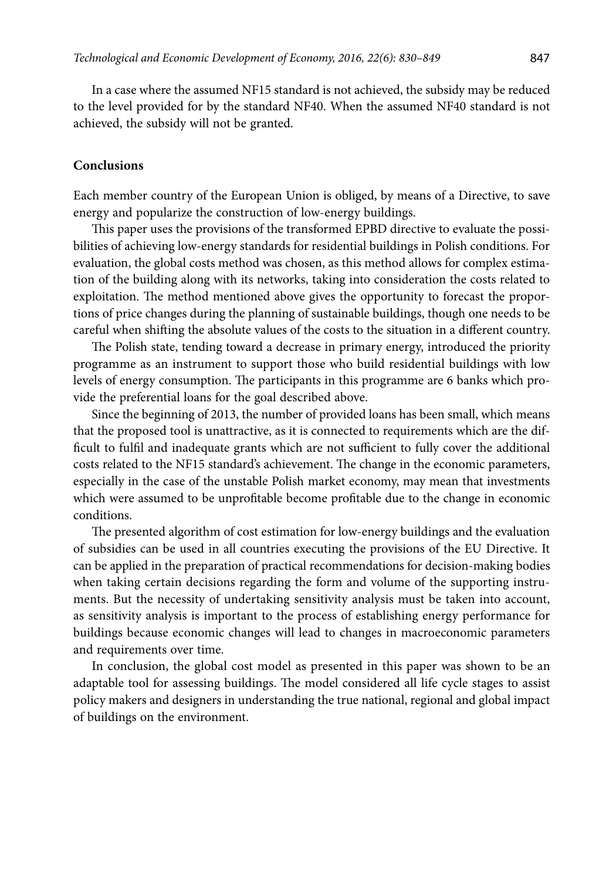In a case where the assumed NF15 standard is not achieved, the subsidy may be reduced to the level provided for by the standard NF40. When the assumed NF40 standard is not achieved, the subsidy will not be granted.

#### **Conclusions**

Each member country of the European Union is obliged, by means of a Directive, to save energy and popularize the construction of low-energy buildings.

This paper uses the provisions of the transformed EPBD directive to evaluate the possibilities of achieving low-energy standards for residential buildings in Polish conditions. For evaluation, the global costs method was chosen, as this method allows for complex estimation of the building along with its networks, taking into consideration the costs related to exploitation. The method mentioned above gives the opportunity to forecast the proportions of price changes during the planning of sustainable buildings, though one needs to be careful when shifting the absolute values of the costs to the situation in a different country.

The Polish state, tending toward a decrease in primary energy, introduced the priority programme as an instrument to support those who build residential buildings with low levels of energy consumption. The participants in this programme are 6 banks which provide the preferential loans for the goal described above.

Since the beginning of 2013, the number of provided loans has been small, which means that the proposed tool is unattractive, as it is connected to requirements which are the difficult to fulfil and inadequate grants which are not sufficient to fully cover the additional costs related to the NF15 standard's achievement. The change in the economic parameters, especially in the case of the unstable Polish market economy, may mean that investments which were assumed to be unprofitable become profitable due to the change in economic conditions.

The presented algorithm of cost estimation for low-energy buildings and the evaluation of subsidies can be used in all countries executing the provisions of the EU Directive. It can be applied in the preparation of practical recommendations for decision-making bodies when taking certain decisions regarding the form and volume of the supporting instruments. But the necessity of undertaking sensitivity analysis must be taken into account, as sensitivity analysis is important to the process of establishing energy performance for buildings because economic changes will lead to changes in macroeconomic parameters and requirements over time.

In conclusion, the global cost model as presented in this paper was shown to be an adaptable tool for assessing buildings. The model considered all life cycle stages to assist policy makers and designers in understanding the true national, regional and global impact of buildings on the environment.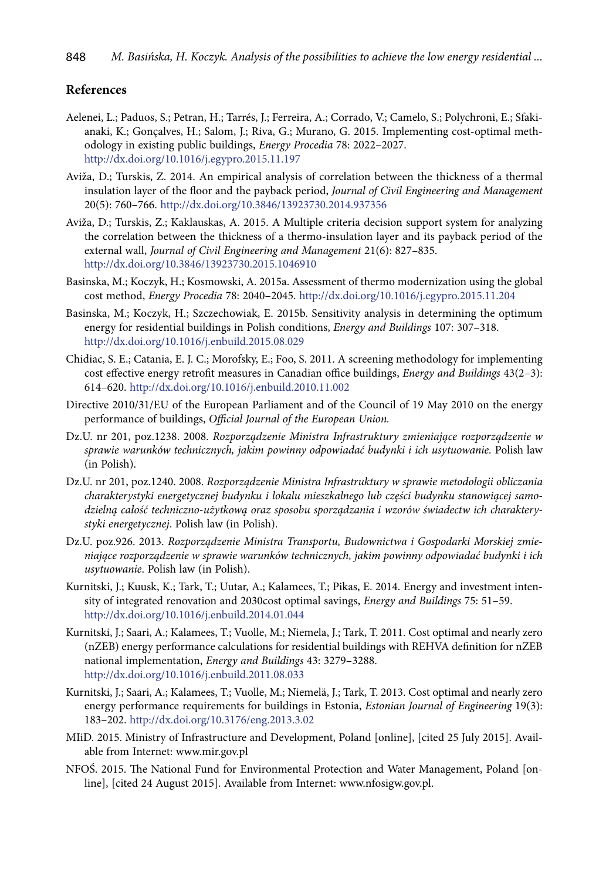#### **References**

- Aelenei, L.; Paduos, S.; Petran, H.; Tarrés, J.; Ferreira, A.; Corrado, V.; Camelo, S.; Polychroni, E.; Sfakianaki, K.; Gonçalves, H.; Salom, J.; Riva, G.; Murano, G. 2015. Implementing cost-optimal methodology in existing public buildings, *Energy Procedia* 78: 2022–2027. <http://dx.doi.org/10.1016/j.egypro.2015.11.197>
- Aviža, D.; Turskis, Z. 2014. An empirical analysis of correlation between the thickness of a thermal insulation layer of the floor and the payback period, *Journal of Civil Engineering and Management* 20(5): 760–766. <http://dx.doi.org/10.3846/13923730.2014.937356>
- Aviža, D.; Turskis, Z.; Kaklauskas, A. 2015. A Multiple criteria decision support system for analyzing the correlation between the thickness of a thermo-insulation layer and its payback period of the external wall, *Journal of Civil Engineering and Management* 21(6): 827–835. <http://dx.doi.org/10.3846/13923730.2015.1046910>
- Basinska, M.; Koczyk, H.; Kosmowski, A. 2015a. Assessment of thermo modernization using the global cost method, *Energy Procedia* 78: 2040–2045. <http://dx.doi.org/10.1016/j.egypro.2015.11.204>
- Basinska, M.; Koczyk, H.; Szczechowiak, E. 2015b. Sensitivity analysis in determining the optimum energy for residential buildings in Polish conditions, *Energy and Buildings* 107: 307–318. <http://dx.doi.org/10.1016/j.enbuild.2015.08.029>
- Chidiac, S. E.; Catania, E. J. C.; Morofsky, E.; Foo, S. 2011. A screening methodology for implementing cost effective energy retrofit measures in Canadian office buildings, *Energy and Buildings* 43(2–3): 614–620. <http://dx.doi.org/10.1016/j.enbuild.2010.11.002>
- Directive 2010/31/EU of the European Parliament and of the Council of 19 May 2010 on the energy performance of buildings, *Official Journal of the European Union.*
- Dz.U. nr 201, poz.1238. 2008. *Rozporządzenie Ministra Infrastruktury zmieniające rozporządzenie w sprawie warunków technicznych, jakim powinny odpowiadać budynki i ich usytuowanie.* Polish law (in Polish).
- Dz.U. nr 201, poz.1240. 2008. *Rozporządzenie Ministra Infrastruktury w sprawie metodologii obliczania charakterystyki energetycznej budynku i lokalu mieszkalnego lub części budynku stanowiącej samodzielną całość techniczno-użytkową oraz sposobu sporządzania i wzorów świadectw ich charakterystyki energetycznej*. Polish law (in Polish).
- Dz.U. poz.926. 2013. *Rozporządzenie Ministra Transportu, Budownictwa i Gospodarki Morskiej zmieniające rozporządzenie w sprawie warunków technicznych, jakim powinny odpowiadać budynki i ich usytuowanie*. Polish law (in Polish).
- Kurnitski, J.; Kuusk, K.; Tark, T.; Uutar, A.; Kalamees, T.; Pikas, E. 2014. Energy and investment intensity of integrated renovation and 2030cost optimal savings, *Energy and Buildings* 75: 51–59. <http://dx.doi.org/10.1016/j.enbuild.2014.01.044>
- Kurnitski, J.; Saari, A.; Kalamees, T.; Vuolle, M.; Niemela, J.; Tark, T. 2011. Cost optimal and nearly zero (nZEB) energy performance calculations for residential buildings with REHVA definition for nZEB national implementation, *Energy and Buildings* 43: 3279–3288. <http://dx.doi.org/10.1016/j.enbuild.2011.08.033>
- Kurnitski, J.; Saari, A.; Kalamees, T.; Vuolle, M.; Niemelä, J.; Tark, T. 2013. Cost optimal and nearly zero energy performance requirements for buildings in Estonia, *Estonian Journal of Engineering* 19(3): 183–202. <http://dx.doi.org/10.3176/eng.2013.3.02>
- MIiD. 2015. Ministry of Infrastructure and Development, Poland [online], [cited 25 July 2015]. Available from Internet: www.mir.gov.pl
- NFOŚ. 2015. The National Fund for Environmental Protection and Water Management, Poland [online], [cited 24 August 2015]. Available from Internet: www.nfosigw.gov.pl.